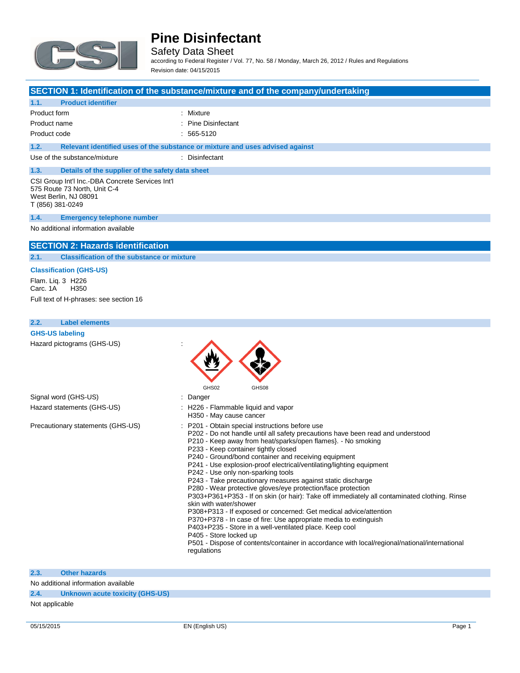

Safety Data Sheet according to Federal Register / Vol. 77, No. 58 / Monday, March 26, 2012 / Rules and Regulations

Revision date: 04/15/2015

#### **SECTION 1: Identification of the substance/mixture and of the company/undertaking**

### **1.1. Product identifier** Product form : Mixture Product name  $\qquad \qquad$ : Pine Disinfectant Product code : 565-5120 **1.2. Relevant identified uses of the substance or mixture and uses advised against** Use of the substance/mixture in the substance in the set of the substance in the substantial control of the substantial control of the substantial control of the substantial control of the substantial control of the substa **1.3. Details of the supplier of the safety data sheet** CSI Group Int'l Inc.-DBA Concrete Services Int'l 575 Route 73 North, Unit C-4 West Berlin, NJ 08091 T (856) 381-0249 **1.4. Emergency telephone number**

 $\triangle$   $\triangle$ 

No additional information available

#### **SECTION 2: Hazards identification**

**2.1. Classification of the substance or mixture**

#### **Classification (GHS-US)**

Flam. Liq. 3 H226 Carc. 1A Full text of H-phrases: see section 16

### **2.2. Label elements**

| <b>GHS-US labeling</b>     |  |
|----------------------------|--|
| Hazard pictograms (GHS-US) |  |

|                                   | マッ                                                                                                                                                                                                                                                                                                                                                                                                                                                                                                                                                                                                                                                                                                                                                                                                                                                                                                                                                                                                                      |
|-----------------------------------|-------------------------------------------------------------------------------------------------------------------------------------------------------------------------------------------------------------------------------------------------------------------------------------------------------------------------------------------------------------------------------------------------------------------------------------------------------------------------------------------------------------------------------------------------------------------------------------------------------------------------------------------------------------------------------------------------------------------------------------------------------------------------------------------------------------------------------------------------------------------------------------------------------------------------------------------------------------------------------------------------------------------------|
|                                   | GHS02<br>GHS08                                                                                                                                                                                                                                                                                                                                                                                                                                                                                                                                                                                                                                                                                                                                                                                                                                                                                                                                                                                                          |
| Signal word (GHS-US)              | : Danger                                                                                                                                                                                                                                                                                                                                                                                                                                                                                                                                                                                                                                                                                                                                                                                                                                                                                                                                                                                                                |
| Hazard statements (GHS-US)        | : H226 - Flammable liquid and vapor<br>H350 - May cause cancer                                                                                                                                                                                                                                                                                                                                                                                                                                                                                                                                                                                                                                                                                                                                                                                                                                                                                                                                                          |
| Precautionary statements (GHS-US) | : P201 - Obtain special instructions before use<br>P202 - Do not handle until all safety precautions have been read and understood<br>P210 - Keep away from heat/sparks/open flames}. - No smoking<br>P233 - Keep container tightly closed<br>P240 - Ground/bond container and receiving equipment<br>P241 - Use explosion-proof electrical/ventilating/lighting equipment<br>P242 - Use only non-sparking tools<br>P243 - Take precautionary measures against static discharge<br>P280 - Wear protective gloves/eye protection/face protection<br>P303+P361+P353 - If on skin (or hair): Take off immediately all contaminated clothing. Rinse<br>skin with water/shower<br>P308+P313 - If exposed or concerned: Get medical advice/attention<br>P370+P378 - In case of fire: Use appropriate media to extinguish<br>P403+P235 - Store in a well-ventilated place. Keep cool<br>P405 - Store locked up<br>P501 - Dispose of contents/container in accordance with local/regional/national/international<br>regulations |

**2.3. Other hazards**

No additional information available

**2.4. Unknown acute toxicity (GHS-US)**

Not applicable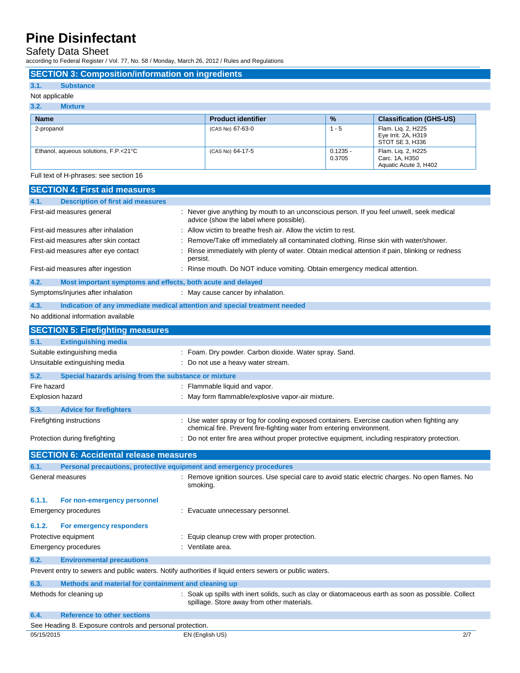Safety Data Sheet

according to Federal Register / Vol. 77, No. 58 / Monday, March 26, 2012 / Rules and Regulations

| 3.1.<br><b>Substance</b>              |                           |                      |                                                               |
|---------------------------------------|---------------------------|----------------------|---------------------------------------------------------------|
| Not applicable                        |                           |                      |                                                               |
| 3.2.<br><b>Mixture</b>                |                           |                      |                                                               |
| <b>Name</b>                           | <b>Product identifier</b> | $\frac{1}{2}$        | <b>Classification (GHS-US)</b>                                |
| 2-propanol                            | (CAS No) 67-63-0          | $1 - 5$              | Flam. Lig. 2, H225<br>Eye Irrit. 2A, H319<br>STOT SE 3, H336  |
| Ethanol, aqueous solutions, F.P.<21°C | (CAS No) 64-17-5          | $0.1235 -$<br>0.3705 | Flam. Liq. 2, H225<br>Carc. 1A, H350<br>Aquatic Acute 3, H402 |

| 4.1.<br><b>Description of first aid measures</b>                    |                                                                                                                                                                      |
|---------------------------------------------------------------------|----------------------------------------------------------------------------------------------------------------------------------------------------------------------|
| First-aid measures general                                          | : Never give anything by mouth to an unconscious person. If you feel unwell, seek medical<br>advice (show the label where possible).                                 |
| First-aid measures after inhalation                                 | : Allow victim to breathe fresh air. Allow the victim to rest.                                                                                                       |
| First-aid measures after skin contact                               | Remove/Take off immediately all contaminated clothing. Rinse skin with water/shower.                                                                                 |
| First-aid measures after eye contact                                | : Rinse immediately with plenty of water. Obtain medical attention if pain, blinking or redness<br>persist.                                                          |
| First-aid measures after ingestion                                  | : Rinse mouth. Do NOT induce vomiting. Obtain emergency medical attention.                                                                                           |
| 4.2.<br>Most important symptoms and effects, both acute and delayed |                                                                                                                                                                      |
| Symptoms/injuries after inhalation                                  | : May cause cancer by inhalation.                                                                                                                                    |
| 4.3.                                                                | Indication of any immediate medical attention and special treatment needed                                                                                           |
| No additional information available                                 |                                                                                                                                                                      |
| <b>SECTION 5: Firefighting measures</b>                             |                                                                                                                                                                      |
| 5.1.<br><b>Extinguishing media</b>                                  |                                                                                                                                                                      |
| Suitable extinguishing media                                        | : Foam. Dry powder. Carbon dioxide. Water spray. Sand.                                                                                                               |
| Unsuitable extinguishing media                                      | : Do not use a heavy water stream.                                                                                                                                   |
| 5.2.<br>Special hazards arising from the substance or mixture       |                                                                                                                                                                      |
| Fire hazard                                                         | : Flammable liquid and vapor.                                                                                                                                        |
| <b>Explosion hazard</b>                                             | : May form flammable/explosive vapor-air mixture.                                                                                                                    |
| 5.3.<br><b>Advice for firefighters</b>                              |                                                                                                                                                                      |
| Firefighting instructions                                           | : Use water spray or fog for cooling exposed containers. Exercise caution when fighting any<br>chemical fire. Prevent fire-fighting water from entering environment. |
| Protection during firefighting                                      | : Do not enter fire area without proper protective equipment, including respiratory protection.                                                                      |
| <b>SECTION 6: Accidental release measures</b>                       |                                                                                                                                                                      |
| 6.1.                                                                | Personal precautions, protective equipment and emergency procedures                                                                                                  |
| General measures                                                    | : Remove ignition sources. Use special care to avoid static electric charges. No open flames. No<br>smoking.                                                         |
| 6.1.1.<br>For non-emergency personnel                               |                                                                                                                                                                      |
| Emergency procedures                                                | : Evacuate unnecessary personnel.                                                                                                                                    |
| 6.1.2.<br>For emergency responders                                  |                                                                                                                                                                      |
| Protective equipment                                                | : Equip cleanup crew with proper protection.                                                                                                                         |
| <b>Emergency procedures</b>                                         | : Ventilate area.                                                                                                                                                    |
|                                                                     |                                                                                                                                                                      |
| 6.2.<br><b>Environmental precautions</b>                            |                                                                                                                                                                      |
|                                                                     | Prevent entry to sewers and public waters. Notify authorities if liquid enters sewers or public waters.                                                              |
| 6.3.<br>Methods and material for containment and cleaning up        |                                                                                                                                                                      |
| Methods for cleaning up                                             | : Soak up spills with inert solids, such as clay or diatomaceous earth as soon as possible. Collect<br>spillage. Store away from other materials.                    |
| 6.4.<br><b>Reference to other sections</b>                          |                                                                                                                                                                      |
| See Heading 8. Exposure controls and personal protection.           |                                                                                                                                                                      |
| 05/15/2015                                                          | 2/7<br>EN (English US)                                                                                                                                               |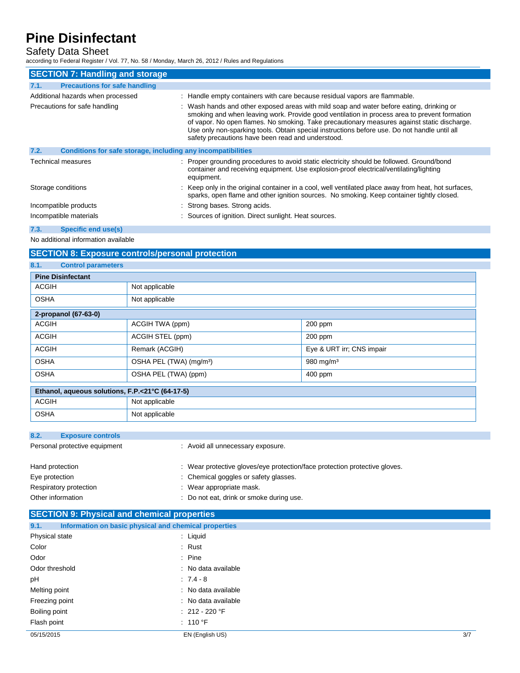## Safety Data Sheet

according to Federal Register / Vol. 77, No. 58 / Monday, March 26, 2012 / Rules and Regulations

|      | <b>SECTION 7: Handling and storage</b>                       |                                                                                                                                                                                                                                                                                                                                                                                                                                              |
|------|--------------------------------------------------------------|----------------------------------------------------------------------------------------------------------------------------------------------------------------------------------------------------------------------------------------------------------------------------------------------------------------------------------------------------------------------------------------------------------------------------------------------|
| 7.1. | <b>Precautions for safe handling</b>                         |                                                                                                                                                                                                                                                                                                                                                                                                                                              |
|      | Additional hazards when processed                            | : Handle empty containers with care because residual vapors are flammable.                                                                                                                                                                                                                                                                                                                                                                   |
|      | Precautions for safe handling                                | : Wash hands and other exposed areas with mild soap and water before eating, drinking or<br>smoking and when leaving work. Provide good ventilation in process area to prevent formation<br>of vapor. No open flames. No smoking. Take precautionary measures against static discharge.<br>Use only non-sparking tools. Obtain special instructions before use. Do not handle until all<br>safety precautions have been read and understood. |
| 7.2. | Conditions for safe storage, including any incompatibilities |                                                                                                                                                                                                                                                                                                                                                                                                                                              |
|      | Technical measures                                           | : Proper grounding procedures to avoid static electricity should be followed. Ground/bond<br>container and receiving equipment. Use explosion-proof electrical/ventilating/lighting<br>equipment.                                                                                                                                                                                                                                            |
|      | Storage conditions                                           | : Keep only in the original container in a cool, well ventilated place away from heat, hot surfaces,<br>sparks, open flame and other ignition sources. No smoking. Keep container tightly closed.                                                                                                                                                                                                                                            |
|      | Incompatible products                                        | : Strong bases. Strong acids.                                                                                                                                                                                                                                                                                                                                                                                                                |
|      | Incompatible materials                                       | : Sources of ignition. Direct sunlight. Heat sources.                                                                                                                                                                                                                                                                                                                                                                                        |
| 7.3. | <b>Specific end use(s)</b>                                   |                                                                                                                                                                                                                                                                                                                                                                                                                                              |

No additional information available

## **SECTION 8: Exposure controls/personal protection**

| 8.1.<br><b>Control parameters</b>                    |                                     |                           |
|------------------------------------------------------|-------------------------------------|---------------------------|
| <b>Pine Disinfectant</b>                             |                                     |                           |
| <b>ACGIH</b>                                         | Not applicable                      |                           |
| <b>OSHA</b>                                          | Not applicable                      |                           |
| 2-propanol (67-63-0)                                 |                                     |                           |
| <b>ACGIH</b>                                         | ACGIH TWA (ppm)                     | 200 ppm                   |
| <b>ACGIH</b>                                         | ACGIH STEL (ppm)                    | $200$ ppm                 |
| <b>ACGIH</b>                                         | Remark (ACGIH)                      | Eye & URT irr; CNS impair |
| <b>OSHA</b>                                          | OSHA PEL (TWA) (mg/m <sup>3</sup> ) | 980 mg/m $3$              |
| <b>OSHA</b>                                          | OSHA PEL (TWA) (ppm)                | 400 ppm                   |
| the contract of the contract of the<br>$\sim$ $\sim$ | -- ---- ----                        |                           |

| Ethanol, aqueous solutions, F.P.<21°C (64-17-5) |                |  |
|-------------------------------------------------|----------------|--|
| <b>ACGIH</b>                                    | Not applicable |  |
| OSHA                                            | Not applicable |  |

| 8.2.<br><b>Exposure controls</b> |                                                                            |
|----------------------------------|----------------------------------------------------------------------------|
| Personal protective equipment    | : Avoid all unnecessary exposure.                                          |
| Hand protection                  | : Wear protective gloves/eye protection/face protection protective gloves. |
| Eye protection                   | : Chemical goggles or safety glasses.                                      |
| Respiratory protection           | : Wear appropriate mask.                                                   |
| Other information                | : Do not eat, drink or smoke during use.                                   |

| <b>SECTION 9: Physical and chemical properties</b> |  |  |
|----------------------------------------------------|--|--|
|                                                    |  |  |

| 9.1.           | Information on basic physical and chemical properties |     |
|----------------|-------------------------------------------------------|-----|
| Physical state | : Liquid                                              |     |
| Color          | : Rust                                                |     |
| Odor           | $:$ Pine                                              |     |
| Odor threshold | : No data available                                   |     |
| рH             | $: 7.4 - 8$                                           |     |
| Melting point  | : No data available                                   |     |
| Freezing point | : No data available                                   |     |
| Boiling point  | $: 212 - 220$ °F                                      |     |
| Flash point    | : 110 °F                                              |     |
| 05/15/2015     | EN (English US)                                       | 3/7 |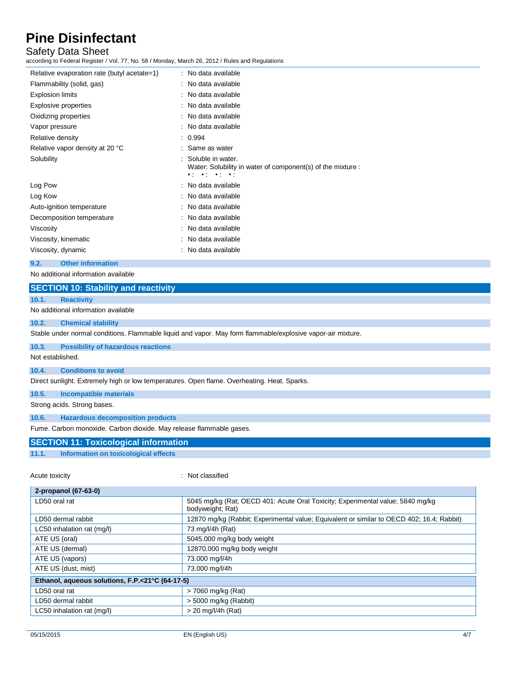### Safety Data Sheet

according to Federal Register / Vol. 77, No. 58 / Monday, March 26, 2012 / Rules and Regulations

| Relative evaporation rate (butyl acetate=1) | : No data available                                                                                                                                               |
|---------------------------------------------|-------------------------------------------------------------------------------------------------------------------------------------------------------------------|
| Flammability (solid, gas)                   | : No data available                                                                                                                                               |
| <b>Explosion limits</b>                     | : No data available                                                                                                                                               |
| Explosive properties                        | : No data available                                                                                                                                               |
| Oxidizing properties                        | : No data available                                                                                                                                               |
| Vapor pressure                              | : No data available                                                                                                                                               |
| Relative density                            | : 0.994                                                                                                                                                           |
| Relative vapor density at 20 °C             | : Same as water                                                                                                                                                   |
| Solubility                                  | : Soluble in water.<br>Water: Solubility in water of component(s) of the mixture :<br>$\bullet \circ \quad \bullet \circ \quad \bullet \circ \quad \bullet \circ$ |
| Log Pow                                     | : No data available                                                                                                                                               |
| Log Kow                                     | : No data available                                                                                                                                               |
| Auto-ignition temperature                   | : No data available                                                                                                                                               |
| Decomposition temperature                   | : No data available                                                                                                                                               |
| Viscosity                                   | : No data available                                                                                                                                               |
| Viscosity, kinematic                        | : No data available                                                                                                                                               |
| Viscosity, dynamic                          | : No data available                                                                                                                                               |

#### **9.2. Other information**

No additional information available

|       | <b>SECTION 10: Stability and reactivity</b> |
|-------|---------------------------------------------|
| 10.1. | <b>Reactivity</b>                           |
|       | No additional information available         |

#### **10.2. Chemical stability**

Stable under normal conditions. Flammable liquid and vapor. May form flammable/explosive vapor-air mixture.

### **10.3. Possibility of hazardous reactions**

Not established.

#### **10.4. Conditions to avoid**

Direct sunlight. Extremely high or low temperatures. Open flame. Overheating. Heat. Sparks.

**10.5. Incompatible materials**

Strong acids. Strong bases.

#### **10.6. Hazardous decomposition products**

Fume. Carbon monoxide. Carbon dioxide. May release flammable gases.

### **SECTION 11: Toxicological information**

### **11.1. Information on toxicological effects**

Acute toxicity in the contract of the contract of the classified in the classified in the contract of the contract of the contract of the contract of the contract of the contract of the contract of the contract of the cont

| 2-propanol (67-63-0)                            |                                                                                                    |  |
|-------------------------------------------------|----------------------------------------------------------------------------------------------------|--|
| LD50 oral rat                                   | 5045 mg/kg (Rat; OECD 401: Acute Oral Toxicity; Experimental value; 5840 mg/kg<br>bodyweight; Rat) |  |
| LD50 dermal rabbit                              | 12870 mg/kg (Rabbit; Experimental value; Equivalent or similar to OECD 402; 16.4; Rabbit)          |  |
| LC50 inhalation rat (mg/l)                      | 73 mg/l/4h (Rat)                                                                                   |  |
| ATE US (oral)                                   | 5045.000 mg/kg body weight                                                                         |  |
| ATE US (dermal)                                 | 12870.000 mg/kg body weight                                                                        |  |
| ATE US (vapors)                                 | 73.000 mg/l/4h                                                                                     |  |
| ATE US (dust, mist)                             | 73.000 mg/l/4h                                                                                     |  |
| Ethanol, aqueous solutions, F.P.<21°C (64-17-5) |                                                                                                    |  |
| LD50 oral rat                                   | > 7060 mg/kg (Rat)                                                                                 |  |
| LD50 dermal rabbit                              | $>$ 5000 mg/kg (Rabbit)                                                                            |  |
| LC50 inhalation rat (mg/l)                      | $>$ 20 mg/l/4h (Rat)                                                                               |  |
|                                                 |                                                                                                    |  |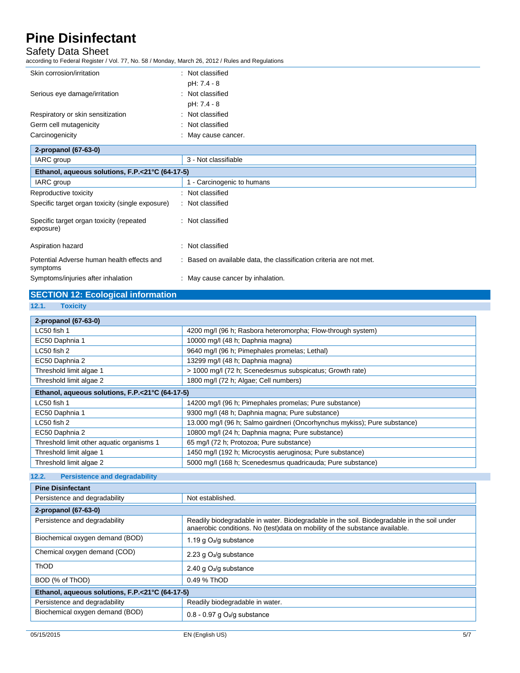### Safety Data Sheet

according to Federal Register / Vol. 77, No. 58 / Monday, March 26, 2012 / Rules and Regulations

| iccording to Federal Register / Vol. 77, No. 58 / Monday, March 26, 2012 / Rules and Regulations |                                                                   |
|--------------------------------------------------------------------------------------------------|-------------------------------------------------------------------|
| Skin corrosion/irritation                                                                        | : Not classified                                                  |
|                                                                                                  | pH: 7.4 - 8                                                       |
| Serious eye damage/irritation                                                                    | : Not classified                                                  |
|                                                                                                  | pH: 7.4 - 8                                                       |
| Respiratory or skin sensitization                                                                | Not classified                                                    |
| Germ cell mutagenicity                                                                           | Not classified                                                    |
| Carcinogenicity                                                                                  | May cause cancer.                                                 |
| 2-propanol (67-63-0)                                                                             |                                                                   |
| IARC group                                                                                       | 3 - Not classifiable                                              |
| Ethanol, aqueous solutions, F.P.<21°C (64-17-5)                                                  |                                                                   |
| IARC group                                                                                       | 1 - Carcinogenic to humans                                        |
| Reproductive toxicity                                                                            | Not classified                                                    |
| Specific target organ toxicity (single exposure)                                                 | : Not classified                                                  |
| Specific target organ toxicity (repeated<br>exposure)                                            | : Not classified                                                  |
| Aspiration hazard                                                                                | Not classified                                                    |
| Potential Adverse human health effects and<br>symptoms                                           | Based on available data, the classification criteria are not met. |

Symptoms/injuries after inhalation : May cause cancer by inhalation.

## **SECTION 12: Ecological information**

**<sup>12.1.</sup> Toxicity**

| 2-propanol (67-63-0)                            |                                                                           |
|-------------------------------------------------|---------------------------------------------------------------------------|
| LC50 fish 1                                     | 4200 mg/l (96 h; Rasbora heteromorpha; Flow-through system)               |
| EC50 Daphnia 1                                  | 10000 mg/l (48 h; Daphnia magna)                                          |
| $LC50$ fish 2                                   | 9640 mg/l (96 h; Pimephales promelas; Lethal)                             |
| EC50 Daphnia 2                                  | 13299 mg/l (48 h; Daphnia magna)                                          |
| Threshold limit algae 1                         | > 1000 mg/l (72 h; Scenedesmus subspicatus; Growth rate)                  |
| Threshold limit algae 2                         | 1800 mg/l (72 h; Algae; Cell numbers)                                     |
| Ethanol, aqueous solutions, F.P.<21°C (64-17-5) |                                                                           |
| LC50 fish 1                                     | 14200 mg/l (96 h; Pimephales promelas; Pure substance)                    |
| EC50 Daphnia 1                                  | 9300 mg/l (48 h; Daphnia magna; Pure substance)                           |
| $LC50$ fish 2                                   | 13.000 mg/l (96 h; Salmo gairdneri (Oncorhynchus mykiss); Pure substance) |
| EC50 Daphnia 2                                  | 10800 mg/l (24 h; Daphnia magna; Pure substance)                          |
| Threshold limit other aquatic organisms 1       | 65 mg/l (72 h; Protozoa; Pure substance)                                  |
| Threshold limit algae 1                         | 1450 mg/l (192 h; Microcystis aeruginosa; Pure substance)                 |
| Threshold limit algae 2                         | 5000 mg/l (168 h; Scenedesmus quadricauda; Pure substance)                |

#### **12.2. Persistence and degradability Pine Disinfectant**

| Pine Disinfectant                               |                                                                                                                                                                           |
|-------------------------------------------------|---------------------------------------------------------------------------------------------------------------------------------------------------------------------------|
| Persistence and degradability                   | Not established.                                                                                                                                                          |
| 2-propanol (67-63-0)                            |                                                                                                                                                                           |
| Persistence and degradability                   | Readily biodegradable in water. Biodegradable in the soil. Biodegradable in the soil under<br>anaerobic conditions. No (test)data on mobility of the substance available. |
| Biochemical oxygen demand (BOD)                 | 1.19 g $O_2$ /g substance                                                                                                                                                 |
| Chemical oxygen demand (COD)                    | 2.23 g $O_2$ /g substance                                                                                                                                                 |
| <b>ThOD</b>                                     | 2.40 g $O_2$ /g substance                                                                                                                                                 |
| BOD (% of ThOD)                                 | 0.49 % ThOD                                                                                                                                                               |
| Ethanol, aqueous solutions, F.P.<21°C (64-17-5) |                                                                                                                                                                           |
| Persistence and degradability                   | Readily biodegradable in water.                                                                                                                                           |
| Biochemical oxygen demand (BOD)                 | $0.8 - 0.97$ g $O2/g$ substance                                                                                                                                           |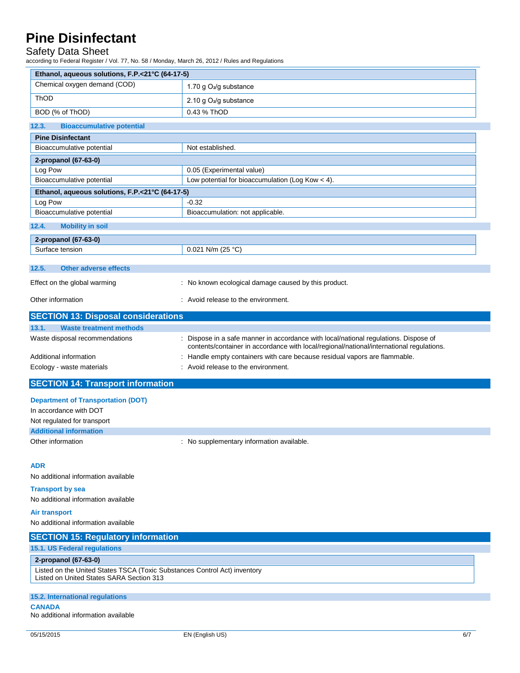## Safety Data Sheet

according to Federal Register / Vol. 77, No. 58 / Monday, March 26, 2012 / Rules and Regulations

| Ethanol, aqueous solutions, F.P.<21°C (64-17-5)                                                                       |                                                                                                                                                                                |  |
|-----------------------------------------------------------------------------------------------------------------------|--------------------------------------------------------------------------------------------------------------------------------------------------------------------------------|--|
| Chemical oxygen demand (COD)                                                                                          | 1.70 g O <sub>2</sub> /g substance                                                                                                                                             |  |
| ThOD                                                                                                                  | 2.10 g O <sub>2</sub> /g substance                                                                                                                                             |  |
| BOD (% of ThOD)                                                                                                       | 0.43 % ThOD                                                                                                                                                                    |  |
|                                                                                                                       |                                                                                                                                                                                |  |
| 12.3.<br><b>Bioaccumulative potential</b>                                                                             |                                                                                                                                                                                |  |
| <b>Pine Disinfectant</b><br>Bioaccumulative potential                                                                 | Not established.                                                                                                                                                               |  |
|                                                                                                                       |                                                                                                                                                                                |  |
| 2-propanol (67-63-0)<br>Log Pow                                                                                       | 0.05 (Experimental value)                                                                                                                                                      |  |
| Bioaccumulative potential                                                                                             | Low potential for bioaccumulation (Log Kow $<$ 4).                                                                                                                             |  |
|                                                                                                                       |                                                                                                                                                                                |  |
| Ethanol, aqueous solutions, F.P.<21°C (64-17-5)<br>Log Pow                                                            | $-0.32$                                                                                                                                                                        |  |
| Bioaccumulative potential                                                                                             | Bioaccumulation: not applicable.                                                                                                                                               |  |
|                                                                                                                       |                                                                                                                                                                                |  |
| 12.4.<br><b>Mobility in soil</b>                                                                                      |                                                                                                                                                                                |  |
| 2-propanol (67-63-0)                                                                                                  |                                                                                                                                                                                |  |
| Surface tension                                                                                                       | 0.021 N/m (25 °C)                                                                                                                                                              |  |
| 12.5.<br><b>Other adverse effects</b>                                                                                 |                                                                                                                                                                                |  |
|                                                                                                                       |                                                                                                                                                                                |  |
| Effect on the global warming                                                                                          | : No known ecological damage caused by this product.                                                                                                                           |  |
| Other information                                                                                                     | : Avoid release to the environment.                                                                                                                                            |  |
| <b>SECTION 13: Disposal considerations</b>                                                                            |                                                                                                                                                                                |  |
| 13.1.<br><b>Waste treatment methods</b>                                                                               |                                                                                                                                                                                |  |
| Waste disposal recommendations                                                                                        | Dispose in a safe manner in accordance with local/national regulations. Dispose of<br>contents/container in accordance with local/regional/national/international regulations. |  |
| Additional information                                                                                                | Handle empty containers with care because residual vapors are flammable.                                                                                                       |  |
| Ecology - waste materials                                                                                             | : Avoid release to the environment.                                                                                                                                            |  |
| <b>SECTION 14: Transport information</b>                                                                              |                                                                                                                                                                                |  |
| <b>Department of Transportation (DOT)</b>                                                                             |                                                                                                                                                                                |  |
| In accordance with DOT                                                                                                |                                                                                                                                                                                |  |
| Not regulated for transport                                                                                           |                                                                                                                                                                                |  |
| <b>Additional information</b>                                                                                         |                                                                                                                                                                                |  |
| Other information                                                                                                     | : No supplementary information available.                                                                                                                                      |  |
|                                                                                                                       |                                                                                                                                                                                |  |
| <b>ADR</b>                                                                                                            |                                                                                                                                                                                |  |
| No additional information available                                                                                   |                                                                                                                                                                                |  |
|                                                                                                                       |                                                                                                                                                                                |  |
| <b>Transport by sea</b><br>No additional information available                                                        |                                                                                                                                                                                |  |
|                                                                                                                       |                                                                                                                                                                                |  |
| <b>Air transport</b>                                                                                                  |                                                                                                                                                                                |  |
| No additional information available                                                                                   |                                                                                                                                                                                |  |
| <b>SECTION 15: Regulatory information</b>                                                                             |                                                                                                                                                                                |  |
| <b>15.1. US Federal regulations</b>                                                                                   |                                                                                                                                                                                |  |
| 2-propanol (67-63-0)                                                                                                  |                                                                                                                                                                                |  |
| Listed on the United States TSCA (Toxic Substances Control Act) inventory<br>Listed on United States SARA Section 313 |                                                                                                                                                                                |  |
|                                                                                                                       |                                                                                                                                                                                |  |
| 15.2. International regulations<br><b>CANADA</b>                                                                      |                                                                                                                                                                                |  |
| No additional information available                                                                                   |                                                                                                                                                                                |  |
| 05/15/2015                                                                                                            | EN (English US)<br>6/7                                                                                                                                                         |  |